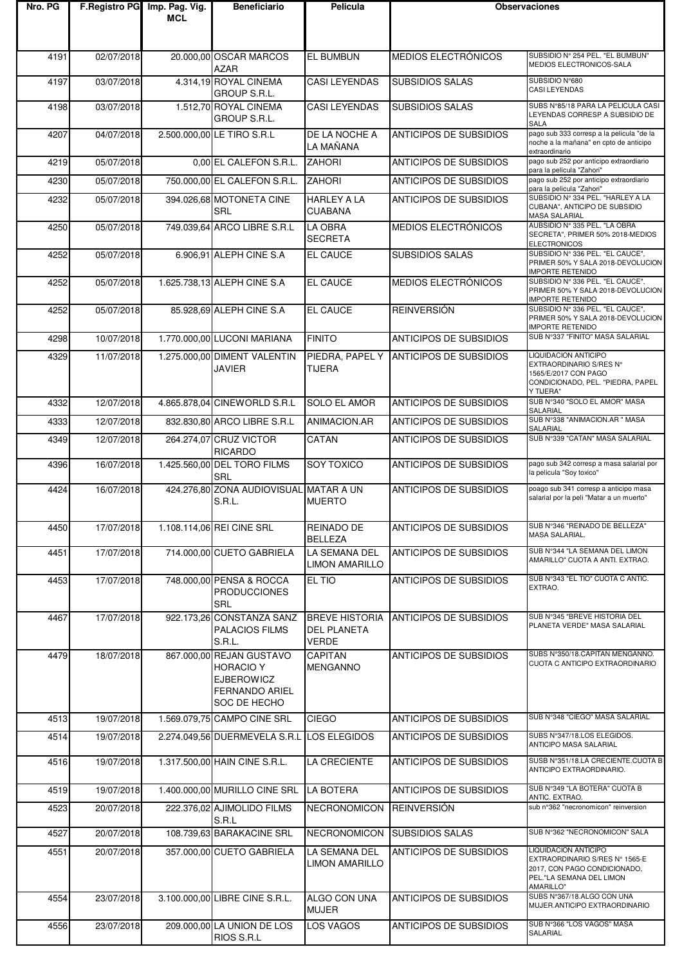| Nro. PG |            | F.Registro PG Imp. Pag. Vig.<br><b>MCL</b> | <b>Beneficiario</b>                                                                                        | Pelicula                                                    | <b>Observaciones</b>                   |                                                                                                                                 |
|---------|------------|--------------------------------------------|------------------------------------------------------------------------------------------------------------|-------------------------------------------------------------|----------------------------------------|---------------------------------------------------------------------------------------------------------------------------------|
|         |            |                                            |                                                                                                            |                                                             |                                        |                                                                                                                                 |
| 4191    | 02/07/2018 |                                            | 20.000,00 OSCAR MARCOS<br><b>AZAR</b>                                                                      | EL BUMBUN                                                   | MEDIOS ELECTRÓNICOS                    | SUBSIDIO Nº 254 PEL. "EL BUMBUN"<br>MEDIOS ELECTRONICOS-SALA                                                                    |
| 4197    | 03/07/2018 |                                            | 4.314,19 ROYAL CINEMA<br>GROUP S.R.L.                                                                      | <b>CASI LEYENDAS</b>                                        | <b>SUBSIDIOS SALAS</b>                 | SUBSIDIO N°680<br><b>CASI LEYENDAS</b>                                                                                          |
| 4198    | 03/07/2018 |                                            | 1.512,70 ROYAL CINEMA<br>GROUP S.R.L.                                                                      | <b>CASI LEYENDAS</b>                                        | <b>SUBSIDIOS SALAS</b>                 | SUBS N°85/18 PARA LA PELICULA CASI<br>LEYENDAS CORRESP A SUBSIDIO DE<br><b>SALA</b>                                             |
| 4207    | 04/07/2018 |                                            | 2.500.000,00 LE TIRO S.R.L                                                                                 | DE LA NOCHE A<br>LA MAÑANA                                  | <b>ANTICIPOS DE SUBSIDIOS</b>          | pago sub 333 corresp a la pelicula "de la<br>noche a la mañana" en cpto de anticipo<br>extraordinario                           |
| 4219    | 05/07/2018 |                                            | 0,00 EL CALEFON S.R.L.                                                                                     | <b>ZAHORI</b>                                               | <b>ANTICIPOS DE SUBSIDIOS</b>          | pago sub 252 por anticipo extraordiario<br>para la pelicula "Zahori"                                                            |
| 4230    | 05/07/2018 |                                            | 750.000,00 EL CALEFON S.R.L.                                                                               | <b>ZAHORI</b>                                               | <b>ANTICIPOS DE SUBSIDIOS</b>          | pago sub 252 por anticipo extraordiario<br>para la pelicula "Zahori"                                                            |
| 4232    | 05/07/2018 |                                            | 394.026,68 MOTONETA CINE<br><b>SRL</b>                                                                     | <b>HARLEY A LA</b><br><b>CUABANA</b>                        | ANTICIPOS DE SUBSIDIOS                 | SUBSIDIO Nº 334 PEL. "HARLEY A LA<br>CUBANA", ANTICIPO DE SUBSIDIO<br><b>MASA SALARIAL</b>                                      |
| 4250    | 05/07/2018 |                                            | 749.039,64 ARCO LIBRE S.R.L                                                                                | LA OBRA<br><b>SECRETA</b>                                   | MEDIOS ELECTRÓNICOS                    | AUBSIDIO Nº 335 PEL. "LA OBRA<br>SECRETA", PRIMER 50% 2018-MEDIOS<br><b>ELECTRONICOS</b>                                        |
| 4252    | 05/07/2018 |                                            | 6.906,91 ALEPH CINE S.A                                                                                    | EL CAUCE                                                    | <b>SUBSIDIOS SALAS</b>                 | SUBSIDIO Nº 336 PEL. "EL CAUCE",<br>PRIMER 50% Y SALA 2018-DEVOLUCION<br><b>IMPORTE RETENIDO</b>                                |
| 4252    | 05/07/2018 |                                            | 1.625.738,13 ALEPH CINE S.A                                                                                | EL CAUCE                                                    | MEDIOS ELECTRÓNICOS                    | SUBSIDIO Nº 336 PEL. "EL CAUCE",<br>PRIMER 50% Y SALA 2018-DEVOLUCION<br><b>IMPORTE RETENIDO</b>                                |
| 4252    | 05/07/2018 |                                            | 85.928,69 ALEPH CINE S.A                                                                                   | EL CAUCE                                                    | <b>REINVERSIÓN</b>                     | SUBSIDIO Nº 336 PEL. "EL CAUCE",<br>PRIMER 50% Y SALA 2018-DEVOLUCION<br><b>IMPORTE RETENIDO</b>                                |
| 4298    | 10/07/2018 |                                            | 1.770.000,00 LUCONI MARIANA                                                                                | <b>FINITO</b>                                               | <b>ANTICIPOS DE SUBSIDIOS</b>          | SUB N°337 "FINITO" MASA SALARIAL                                                                                                |
| 4329    | 11/07/2018 |                                            | 1.275.000,00 DIMENT VALENTIN<br><b>JAVIER</b>                                                              | TIJERA                                                      | PIEDRA, PAPEL Y ANTICIPOS DE SUBSIDIOS | LIQUIDACION ANTICIPO<br>EXTRAORDINARIO S/RES N°<br>1565/E/2017 CON PAGO<br>CONDICIONADO, PEL. "PIEDRA, PAPEL<br>Y TIJERA"       |
| 4332    | 12/07/2018 |                                            | 4.865.878,04 CINEWORLD S.R.L                                                                               | SOLO EL AMOR                                                | <b>ANTICIPOS DE SUBSIDIOS</b>          | SUB N°340 "SOLO EL AMOR" MASA<br>SALARIAL                                                                                       |
| 4333    | 12/07/2018 |                                            | 832.830,80 ARCO LIBRE S.R.L                                                                                | ANIMACION.AR                                                | <b>ANTICIPOS DE SUBSIDIOS</b>          | SUB N°338 "ANIMACION.AR " MASA<br>SALARIAL                                                                                      |
| 4349    | 12/07/2018 |                                            | 264.274,07 CRUZ VICTOR<br><b>RICARDO</b>                                                                   | CATAN                                                       | ANTICIPOS DE SUBSIDIOS                 | SUB N°339 "CATAN" MASA SALARIAL                                                                                                 |
| 4396    | 16/07/2018 |                                            | 1.425.560,00 DEL TORO FILMS<br><b>SRL</b>                                                                  | SOY TOXICO                                                  | <b>ANTICIPOS DE SUBSIDIOS</b>          | pago sub 342 corresp a masa salarial por<br>la pelicula "Soy toxico"                                                            |
| 4424    | 16/07/2018 |                                            | 424.276,80 ZONA AUDIOVISUAL MATAR A UN<br>S.R.L.                                                           | <b>MUERTO</b>                                               | <b>ANTICIPOS DE SUBSIDIOS</b>          | poago sub 341 corresp a anticipo masa<br>salarial por la peli "Matar a un muerto"                                               |
| 4450    | 17/07/2018 |                                            | 1.108.114,06 REI CINE SRL                                                                                  | REINADO DE<br><b>BELLEZA</b>                                | <b>ANTICIPOS DE SUBSIDIOS</b>          | SUB N°346 "REINADO DE BELLEZA"<br><b>MASA SALARIAL.</b>                                                                         |
| 4451    | 17/07/2018 |                                            | 714.000,00 CUETO GABRIELA                                                                                  | LA SEMANA DEL<br><b>LIMON AMARILLO</b>                      | ANTICIPOS DE SUBSIDIOS                 | SUB N°344 "LA SEMANA DEL LIMON<br>AMARILLO" CUOTA A ANTI. EXTRAO.                                                               |
| 4453    | 17/07/2018 |                                            | 748.000,00 PENSA & ROCCA<br><b>PRODUCCIONES</b><br><b>SRL</b>                                              | EL TIO                                                      | ANTICIPOS DE SUBSIDIOS                 | SUB N°343 "EL TIO" CUOTA C ANTIC.<br>EXTRAO.                                                                                    |
| 4467    | 17/07/2018 |                                            | 922.173,26 CONSTANZA SANZ<br><b>PALACIOS FILMS</b><br>S.R.L.                                               | <b>BREVE HISTORIA</b><br><b>DEL PLANETA</b><br><b>VERDE</b> | ANTICIPOS DE SUBSIDIOS                 | SUB N°345 "BREVE HISTORIA DEL<br>PLANETA VERDE" MASA SALARIAL                                                                   |
| 4479    | 18/07/2018 |                                            | 867.000,00 REJAN GUSTAVO<br><b>HORACIO Y</b><br><b>EJBEROWICZ</b><br><b>FERNANDO ARIEL</b><br>SOC DE HECHO | <b>CAPITAN</b><br><b>MENGANNO</b>                           | <b>ANTICIPOS DE SUBSIDIOS</b>          | SUBS N°350/18.CAPITAN MENGANNO.<br>CUOTA C ANTICIPO EXTRAORDINARIO                                                              |
| 4513    | 19/07/2018 |                                            | 1.569.079,75 CAMPO CINE SRL                                                                                | <b>CIEGO</b>                                                | <b>ANTICIPOS DE SUBSIDIOS</b>          | SUB N°348 "CIEGO" MASA SALARIAL                                                                                                 |
| 4514    | 19/07/2018 |                                            | 2.274.049,56 DUERMEVELA S.R.L LOS ELEGIDOS                                                                 |                                                             | <b>ANTICIPOS DE SUBSIDIOS</b>          | SUBS N°347/18.LOS ELEGIDOS.<br>ANTICIPO MASA SALARIAL                                                                           |
| 4516    | 19/07/2018 |                                            | 1.317.500,00 HAIN CINE S.R.L.                                                                              | LA CRECIENTE                                                | ANTICIPOS DE SUBSIDIOS                 | SUSB N°351/18.LA CRECIENTE.CUOTA B<br>ANTICIPO EXTRAORDINARIO.                                                                  |
| 4519    | 19/07/2018 |                                            | 1.400.000,00 MURILLO CINE SRL                                                                              | LA BOTERA                                                   | ANTICIPOS DE SUBSIDIOS                 | SUB N°349 "LA BOTERA" CUOTA B<br>ANTIC. EXTRAO.                                                                                 |
| 4523    | 20/07/2018 |                                            | 222.376,02 AJIMOLIDO FILMS<br>S.R.L                                                                        | NECRONOMICON                                                | <b>REINVERSIÓN</b>                     | sub n°362 "necronomicon" reinversion                                                                                            |
| 4527    | 20/07/2018 |                                            | 108.739,63 BARAKACINE SRL                                                                                  | NECRONOMICON                                                | <b>SUBSIDIOS SALAS</b>                 | SUB N°362 "NECRONOMICON" SALA                                                                                                   |
| 4551    | 20/07/2018 |                                            | 357.000,00 CUETO GABRIELA                                                                                  | LA SEMANA DEL<br><b>LIMON AMARILLO</b>                      | ANTICIPOS DE SUBSIDIOS                 | LIQUIDACION ANTICIPO<br>EXTRAORDINARIO S/RES Nº 1565-E<br>2017, CON PAGO CONDICIONADO,<br>PEL."LA SEMANA DEL LIMON<br>AMARILLO" |
| 4554    | 23/07/2018 |                                            | 3.100.000,00 LIBRE CINE S.R.L.                                                                             | ALGO CON UNA<br><b>MUJER</b>                                | ANTICIPOS DE SUBSIDIOS                 | SUBS N°367/18.ALGO CON UNA<br>MUJER.ANTICIPO EXTRAORDINARIO                                                                     |
| 4556    | 23/07/2018 |                                            | 209.000,00 LA UNION DE LOS<br>RIOS S.R.L                                                                   | LOS VAGOS                                                   | <b>ANTICIPOS DE SUBSIDIOS</b>          | SUB N°366 "LOS VAGOS" MASA<br><b>SALARIAL</b>                                                                                   |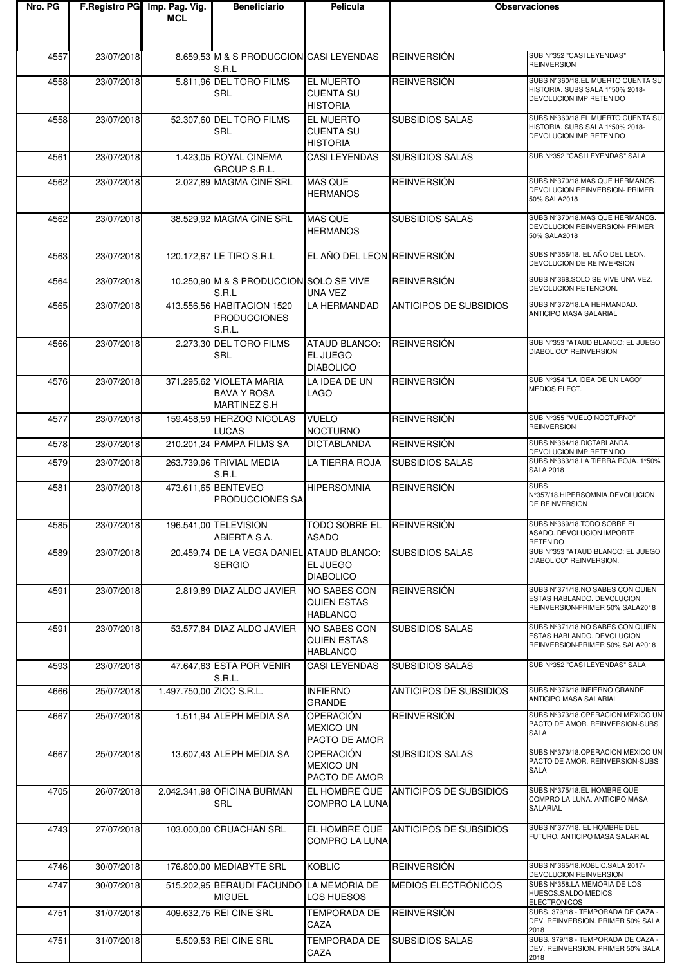| Nro. PG |            | F. Registro PG Imp. Pag. Vig.<br>MCL | <b>Beneficiario</b>                                            | Pelicula                                                | <b>Observaciones</b>          |                                                                                                   |
|---------|------------|--------------------------------------|----------------------------------------------------------------|---------------------------------------------------------|-------------------------------|---------------------------------------------------------------------------------------------------|
| 4557    | 23/07/2018 |                                      | 8.659,53 M & S PRODUCCION CASI LEYENDAS<br>S.R.L               |                                                         | <b>REINVERSIÓN</b>            | SUB N°352 "CASI LEYENDAS"<br><b>REINVERSION</b>                                                   |
| 4558    | 23/07/2018 |                                      | 5.811,96 DEL TORO FILMS<br><b>SRL</b>                          | <b>EL MUERTO</b><br><b>CUENTA SU</b><br><b>HISTORIA</b> | <b>REINVERSIÓN</b>            | SUBS N°360/18.EL MUERTO CUENTA SU<br>HISTORIA. SUBS SALA 1°50% 2018-<br>DEVOLUCION IMP RETENIDO   |
| 4558    | 23/07/2018 |                                      | 52.307,60 DEL TORO FILMS<br><b>SRL</b>                         | <b>EL MUERTO</b><br><b>CUENTA SU</b><br><b>HISTORIA</b> | <b>SUBSIDIOS SALAS</b>        | SUBS N°360/18.EL MUERTO CUENTA SU<br>HISTORIA. SUBS SALA 1°50% 2018-<br>DEVOLUCION IMP RETENIDO   |
| 4561    | 23/07/2018 |                                      | 1.423,05 ROYAL CINEMA<br>GROUP S.R.L.                          | <b>CASI LEYENDAS</b>                                    | <b>SUBSIDIOS SALAS</b>        | SUB N°352 "CASI LEYENDAS" SALA                                                                    |
| 4562    | 23/07/2018 |                                      | 2.027,89 MAGMA CINE SRL                                        | <b>MAS QUE</b><br><b>HERMANOS</b>                       | <b>REINVERSIÓN</b>            | SUBS N°370/18.MAS QUE HERMANOS.<br>DEVOLUCION REINVERSION- PRIMER<br>50% SALA2018                 |
| 4562    | 23/07/2018 |                                      | 38.529,92 MAGMA CINE SRL                                       | <b>MAS QUE</b><br><b>HERMANOS</b>                       | <b>SUBSIDIOS SALAS</b>        | SUBS N°370/18.MAS QUE HERMANOS.<br>DEVOLUCION REINVERSION- PRIMER<br>50% SALA2018                 |
| 4563    | 23/07/2018 |                                      | 120.172,67 LE TIRO S.R.L                                       | EL AÑO DEL LEON REINVERSIÓN                             |                               | SUBS N°356/18. EL AÑO DEL LEON.<br>DEVOLUCION DE REINVERSION                                      |
| 4564    | 23/07/2018 |                                      | 10.250,90 M & S PRODUCCION SOLO SE VIVE<br>S.R.L               | UNA VEZ                                                 | <b>REINVERSIÓN</b>            | SUBS N°368.SOLO SE VIVE UNA VEZ.<br>DEVOLUCION RETENCION.                                         |
| 4565    | 23/07/2018 |                                      | 413.556,56 HABITACION 1520<br><b>PRODUCCIONES</b><br>S.R.L.    | LA HERMANDAD                                            | <b>ANTICIPOS DE SUBSIDIOS</b> | SUBS N°372/18.LA HERMANDAD.<br>ANTICIPO MASA SALARIAL                                             |
| 4566    | 23/07/2018 |                                      | 2.273,30 DEL TORO FILMS<br><b>SRL</b>                          | ATAUD BLANCO:<br>EL JUEGO<br><b>DIABOLICO</b>           | <b>REINVERSIÓN</b>            | SUB Nº353 "ATAUD BLANCO: EL JUEGO<br>DIABOLICO" REINVERSION                                       |
| 4576    | 23/07/2018 |                                      | 371.295,62 VIOLETA MARIA<br><b>BAVA Y ROSA</b><br>MARTINEZ S.H | LA IDEA DE UN<br><b>LAGO</b>                            | <b>REINVERSIÓN</b>            | SUB N°354 "LA IDEA DE UN LAGO"<br><b>MEDIOS ELECT.</b>                                            |
| 4577    | 23/07/2018 |                                      | 159.458,59 HERZOG NICOLAS<br><b>LUCAS</b>                      | <b>VUELO</b><br><b>NOCTURNO</b>                         | <b>REINVERSIÓN</b>            | SUB Nº355 "VUELO NOCTURNO"<br><b>REINVERSION</b>                                                  |
| 4578    | 23/07/2018 |                                      | 210.201,24 PAMPA FILMS SA                                      | DICTABLANDA                                             | <b>REINVERSIÓN</b>            | SUBS N°364/18.DICTABLANDA.<br>DEVOLUCION IMP RETENIDO                                             |
| 4579    | 23/07/2018 |                                      | 263.739,96 TRIVIAL MEDIA<br>S.R.L                              | LA TIERRA ROJA                                          | <b>SUBSIDIOS SALAS</b>        | SUBS N°363/18.LA TIERRA ROJA. 1°50%<br><b>SALA 2018</b>                                           |
| 4581    | 23/07/2018 |                                      | 473.611,65 BENTEVEO<br>PRODUCCIONES SA                         | <b>HIPERSOMNIA</b>                                      | <b>REINVERSIÓN</b>            | <b>SUBS</b><br>N°357/18.HIPERSOMNIA.DEVOLUCION<br><b>DE REINVERSION</b>                           |
| 4585    | 23/07/2018 |                                      | 196.541,00 TELEVISION<br>ABIERTA S.A.                          | TODO SOBRE EL<br><b>ASADO</b>                           | <b>REINVERSIÓN</b>            | SUBS N°369/18.TODO SOBRE EL<br>ASADO. DEVOLUCION IMPORTE<br><b>RETENIDO</b>                       |
| 4589    | 23/07/2018 |                                      | 20.459,74 DE LA VEGA DANIEL ATAUD BLANCO:<br><b>SERGIO</b>     | EL JUEGO<br><b>DIABOLICO</b>                            | <b>SUBSIDIOS SALAS</b>        | SUB N°353 "ATAUD BLANCO: EL JUEGO<br>DIABOLICO" REINVERSION.                                      |
| 4591    | 23/07/2018 |                                      | 2.819,89 DIAZ ALDO JAVIER                                      | NO SABES CON<br>QUIEN ESTAS<br><b>HABLANCO</b>          | <b>REINVERSIÓN</b>            | SUBS N°371/18.NO SABES CON QUIEN<br>ESTAS HABLANDO. DEVOLUCION<br>REINVERSION-PRIMER 50% SALA2018 |
| 4591    | 23/07/2018 |                                      | 53.577,84 DIAZ ALDO JAVIER                                     | NO SABES CON<br><b>QUIEN ESTAS</b><br><b>HABLANCO</b>   | <b>SUBSIDIOS SALAS</b>        | SUBS N°371/18.NO SABES CON QUIEN<br>ESTAS HABLANDO. DEVOLUCION<br>REINVERSION-PRIMER 50% SALA2018 |
| 4593    | 23/07/2018 |                                      | 47.647,63 ESTA POR VENIR<br>S.R.L.                             | <b>CASI LEYENDAS</b>                                    | <b>SUBSIDIOS SALAS</b>        | SUB N°352 "CASI LEYENDAS" SALA                                                                    |
| 4666    | 25/07/2018 | 1.497.750,00 ZIOC S.R.L.             |                                                                | <b>INFIERNO</b><br><b>GRANDE</b>                        | ANTICIPOS DE SUBSIDIOS        | SUBS N°376/18.INFIERNO GRANDE.<br>ANTICIPO MASA SALARIAL                                          |
| 4667    | 25/07/2018 |                                      | 1.511,94 ALEPH MEDIA SA                                        | <b>OPERACIÓN</b><br><b>MEXICO UN</b><br>PACTO DE AMOR   | <b>REINVERSIÓN</b>            | SUBS N°373/18.OPERACION MEXICO UN<br>PACTO DE AMOR. REINVERSION-SUBS<br><b>SALA</b>               |
| 4667    | 25/07/2018 |                                      | 13.607,43 ALEPH MEDIA SA                                       | <b>OPERACIÓN</b><br><b>MEXICO UN</b><br>PACTO DE AMOR   | <b>SUBSIDIOS SALAS</b>        | SUBS N°373/18.OPERACION MEXICO UN<br>PACTO DE AMOR. REINVERSION-SUBS<br><b>SALA</b>               |
| 4705    | 26/07/2018 |                                      | 2.042.341,98 OFICINA BURMAN<br><b>SRL</b>                      | EL HOMBRE QUE<br>COMPRO LA LUNA                         | <b>ANTICIPOS DE SUBSIDIOS</b> | SUBS N°375/18.EL HOMBRE QUE<br>COMPRO LA LUNA. ANTICIPO MASA<br>SALARIAL                          |
| 4743    | 27/07/2018 |                                      | 103.000,00 CRUACHAN SRL                                        | EL HOMBRE QUE<br>COMPRO LA LUNA                         | <b>ANTICIPOS DE SUBSIDIOS</b> | SUBS N°377/18. EL HOMBRE DEL<br>FUTURO. ANTICIPO MASA SALARIAL                                    |
| 4746    | 30/07/2018 |                                      | 176.800,00 MEDIABYTE SRL                                       | <b>KOBLIC</b>                                           | REINVERSIÓN                   | SUBS N°365/18.KOBLIC.SALA 2017-<br>DEVOLUCION REINVERSION                                         |
| 4747    | 30/07/2018 |                                      | 515.202,95 BERAUDI FACUNDO LA MEMORIA DE<br><b>MIGUEL</b>      | LOS HUESOS                                              | MEDIOS ELECTRÓNICOS           | SUBS N°358.LA MEMORIA DE LOS<br>HUESOS.SALDO MEDIOS<br><b>ELECTRONICOS</b>                        |
| 4751    | 31/07/2018 |                                      | 409.632.75 REI CINE SRL                                        | <b>TEMPORADA DE</b><br>CAZA                             | <b>REINVERSIÓN</b>            | SUBS. 379/18 - TEMPORADA DE CAZA -<br>DEV. REINVERSION. PRIMER 50% SALA<br>2018                   |
| 4751    | 31/07/2018 |                                      | 5.509,53 REI CINE SRL                                          | <b>TEMPORADA DE</b><br>CAZA                             | <b>SUBSIDIOS SALAS</b>        | SUBS. 379/18 - TEMPORADA DE CAZA -<br>DEV. REINVERSION. PRIMER 50% SALA<br>2018                   |